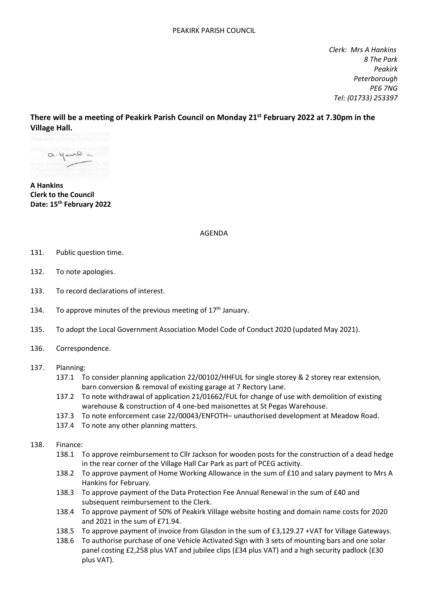*Clerk: Mrs A Hankins 8 The Park Peakirk Peterborough PE6 7NG Tel: (01733) 253397*

**There will be a meeting of Peakirk Parish Council on Monday 21st February 2022 at 7.30pm in the Village Hall.**

 $a.4$ ure -

**A Hankins Clerk to the Council Date: 15 th February 2022**

AGENDA

- 131. Public question time.
- 132. To note apologies.
- 133. To record declarations of interest.
- 134. To approve minutes of the previous meeting of  $17<sup>th</sup>$  January.
- 135. To adopt the Local Government Association Model Code of Conduct 2020 (updated May 2021).
- 136. Correspondence.
- 137. Planning:
	- 137.1 To consider planning application 22/00102/HHFUL for single storey & 2 storey rear extension, barn conversion & removal of existing garage at 7 Rectory Lane.
	- 137.2 To note withdrawal of application 21/01662/FUL for change of use with demolition of existing warehouse & construction of 4 one-bed maisonettes at St Pegas Warehouse.
	- 137.3 To note enforcement case 22/00043/ENFOTH– unauthorised development at Meadow Road.
	- 137.4 To note any other planning matters.

## 138. Finance:

- 138.1 To approve reimbursement to Cllr Jackson for wooden posts for the construction of a dead hedge in the rear corner of the Village Hall Car Park as part of PCEG activity.
- 138.2 To approve payment of Home Working Allowance in the sum of £10 and salary payment to Mrs A Hankins for February.
- 138.3 To approve payment of the Data Protection Fee Annual Renewal in the sum of £40 and subsequent reimbursement to the Clerk.
- 138.4 To approve payment of 50% of Peakirk Village website hosting and domain name costs for 2020 and 2021 in the sum of £71.94.
- 138.5 To approve payment of invoice from Glasdon in the sum of £3,129.27 +VAT for Village Gateways.
- 138.6 To authorise purchase of one Vehicle Activated Sign with 3 sets of mounting bars and one solar panel costing £2,258 plus VAT and jubilee clips (£34 plus VAT) and a high security padlock (£30 plus VAT).